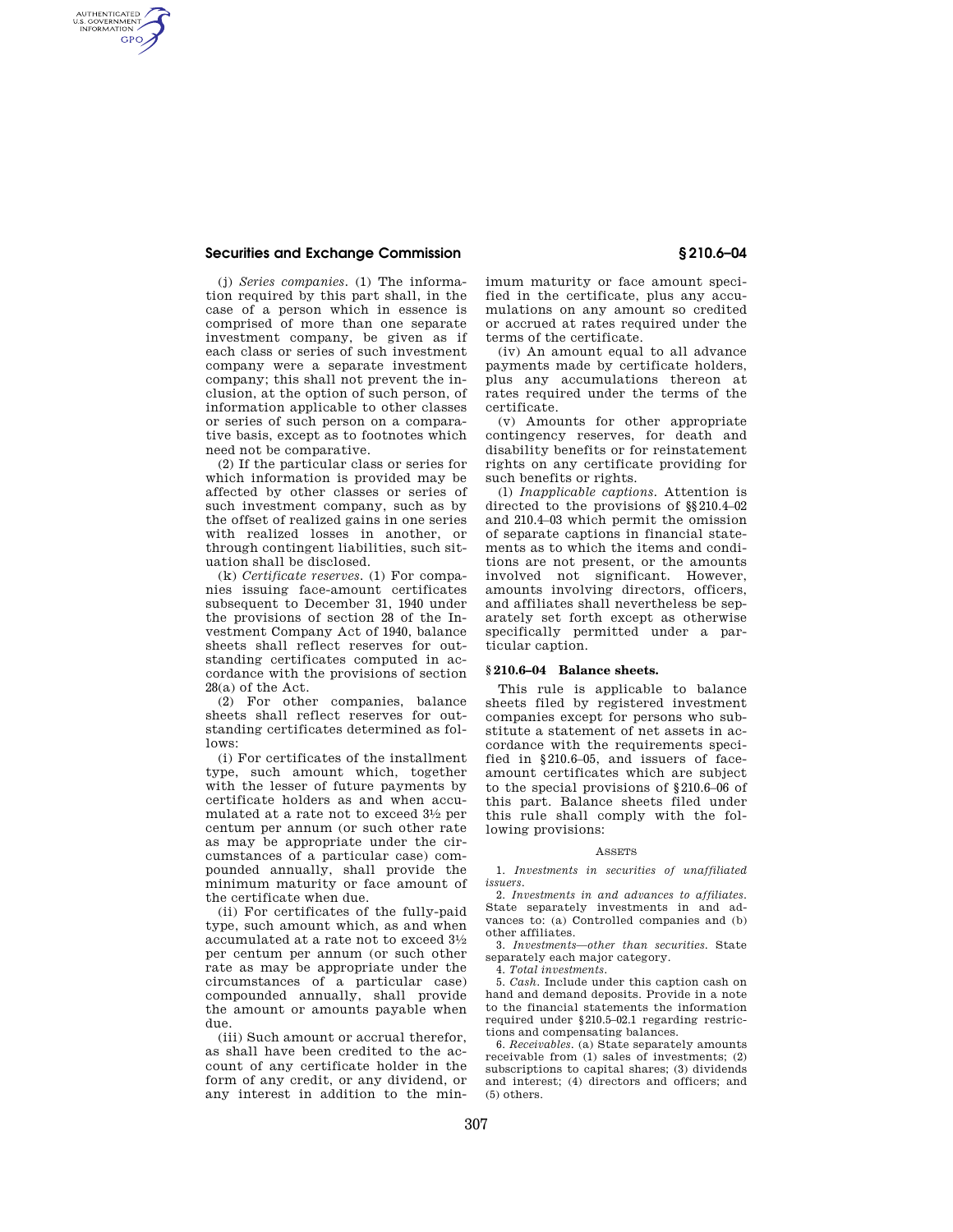## **Securities and Exchange Commission § 210.6–04**

AUTHENTICATED<br>U.S. GOVERNMENT<br>INFORMATION **GPO** 

> (j) *Series companies.* (1) The information required by this part shall, in the case of a person which in essence is comprised of more than one separate investment company, be given as if each class or series of such investment company were a separate investment company; this shall not prevent the inclusion, at the option of such person, of information applicable to other classes or series of such person on a comparative basis, except as to footnotes which need not be comparative.

(2) If the particular class or series for which information is provided may be affected by other classes or series of such investment company, such as by the offset of realized gains in one series with realized losses in another, or through contingent liabilities, such situation shall be disclosed.

(k) *Certificate reserves.* (1) For companies issuing face-amount certificates subsequent to December 31, 1940 under the provisions of section 28 of the Investment Company Act of 1940, balance sheets shall reflect reserves for outstanding certificates computed in accordance with the provisions of section 28(a) of the Act.

(2) For other companies, balance sheets shall reflect reserves for outstanding certificates determined as follows:

(i) For certificates of the installment type, such amount which, together with the lesser of future payments by certificate holders as and when accumulated at a rate not to exceed 31⁄2 per centum per annum (or such other rate as may be appropriate under the circumstances of a particular case) compounded annually, shall provide the minimum maturity or face amount of the certificate when due.

(ii) For certificates of the fully-paid type, such amount which, as and when accumulated at a rate not to exceed 31⁄2 per centum per annum (or such other rate as may be appropriate under the circumstances of a particular case) compounded annually, shall provide the amount or amounts payable when due.

(iii) Such amount or accrual therefor, as shall have been credited to the account of any certificate holder in the form of any credit, or any dividend, or any interest in addition to the minimum maturity or face amount specified in the certificate, plus any accumulations on any amount so credited or accrued at rates required under the terms of the certificate.

(iv) An amount equal to all advance payments made by certificate holders, plus any accumulations thereon at rates required under the terms of the certificate.

(v) Amounts for other appropriate contingency reserves, for death and disability benefits or for reinstatement rights on any certificate providing for such benefits or rights.

(l) *Inapplicable captions.* Attention is directed to the provisions of §§210.4–02 and 210.4–03 which permit the omission of separate captions in financial statements as to which the items and conditions are not present, or the amounts involved not significant. However, amounts involving directors, officers, and affiliates shall nevertheless be separately set forth except as otherwise specifically permitted under a particular caption.

#### **§ 210.6–04 Balance sheets.**

This rule is applicable to balance sheets filed by registered investment companies except for persons who substitute a statement of net assets in accordance with the requirements specified in §210.6–05, and issuers of faceamount certificates which are subject to the special provisions of §210.6–06 of this part. Balance sheets filed under this rule shall comply with the following provisions:

#### **ASSETS**

1. *Investments in securities of unaffiliated issuers.* 

2. *Investments in and advances to affiliates.*  State separately investments in and advances to: (a) Controlled companies and (b) other affiliates.

3. *Investments—other than securities.* State separately each major category.

4. *Total investments.* 

5. *Cash.* Include under this caption cash on hand and demand deposits. Provide in a note to the financial statements the information required under §210.5–02.1 regarding restrictions and compensating balances.

6. *Receivables.* (a) State separately amounts receivable from (1) sales of investments; (2) subscriptions to capital shares; (3) dividends and interest; (4) directors and officers; and (5) others.